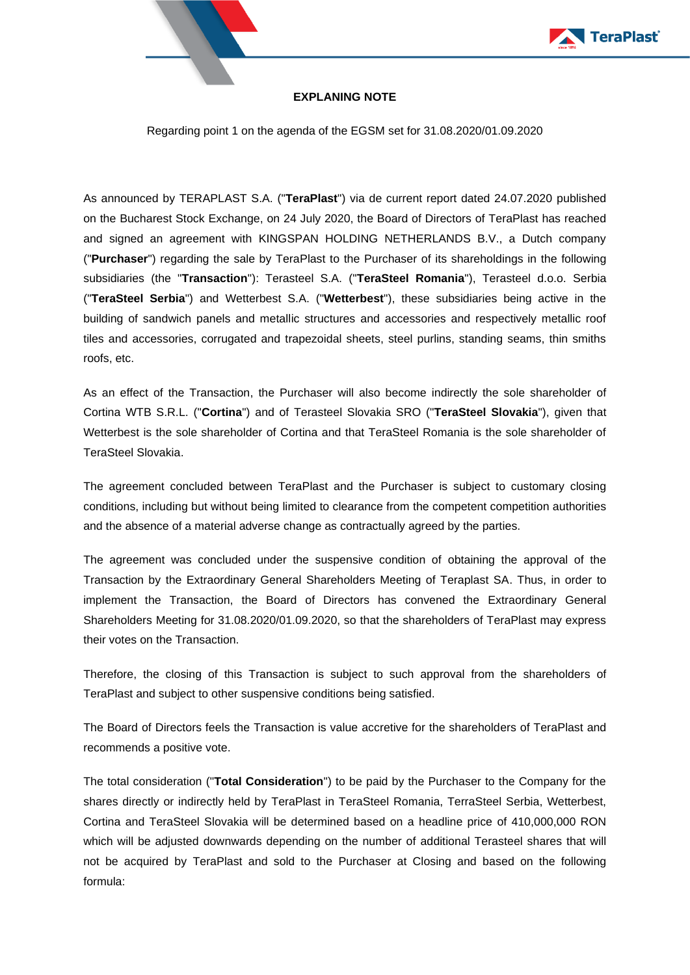



## **EXPLANING NOTE**

Regarding point 1 on the agenda of the EGSM set for 31.08.2020/01.09.2020

As announced by TERAPLAST S.A. ("**TeraPlast**") via de current report dated 24.07.2020 published on the Bucharest Stock Exchange, on 24 July 2020, the Board of Directors of TeraPlast has reached and signed an agreement with KINGSPAN HOLDING NETHERLANDS B.V., a Dutch company ("**Purchaser**") regarding the sale by TeraPlast to the Purchaser of its shareholdings in the following subsidiaries (the "**Transaction**"): Terasteel S.A. ("**TeraSteel Romania**"), Terasteel d.o.o. Serbia ("**TeraSteel Serbia**") and Wetterbest S.A. ("**Wetterbest**"), these subsidiaries being active in the building of sandwich panels and metallic structures and accessories and respectively metallic roof tiles and accessories, corrugated and trapezoidal sheets, steel purlins, standing seams, thin smiths roofs, etc.

As an effect of the Transaction, the Purchaser will also become indirectly the sole shareholder of Cortina WTB S.R.L. ("**Cortina**") and of Terasteel Slovakia SRO ("**TeraSteel Slovakia**"), given that Wetterbest is the sole shareholder of Cortina and that TeraSteel Romania is the sole shareholder of TeraSteel Slovakia.

The agreement concluded between TeraPlast and the Purchaser is subject to customary closing conditions, including but without being limited to clearance from the competent competition authorities and the absence of a material adverse change as contractually agreed by the parties.

The agreement was concluded under the suspensive condition of obtaining the approval of the Transaction by the Extraordinary General Shareholders Meeting of Teraplast SA. Thus, in order to implement the Transaction, the Board of Directors has convened the Extraordinary General Shareholders Meeting for 31.08.2020/01.09.2020, so that the shareholders of TeraPlast may express their votes on the Transaction.

Therefore, the closing of this Transaction is subject to such approval from the shareholders of TeraPlast and subject to other suspensive conditions being satisfied.

The Board of Directors feels the Transaction is value accretive for the shareholders of TeraPlast and recommends a positive vote.

The total consideration ("**Total Consideration**") to be paid by the Purchaser to the Company for the shares directly or indirectly held by TeraPlast in TeraSteel Romania, TerraSteel Serbia, Wetterbest, Cortina and TeraSteel Slovakia will be determined based on a headline price of 410,000,000 RON which will be adjusted downwards depending on the number of additional Terasteel shares that will not be acquired by TeraPlast and sold to the Purchaser at Closing and based on the following formula: